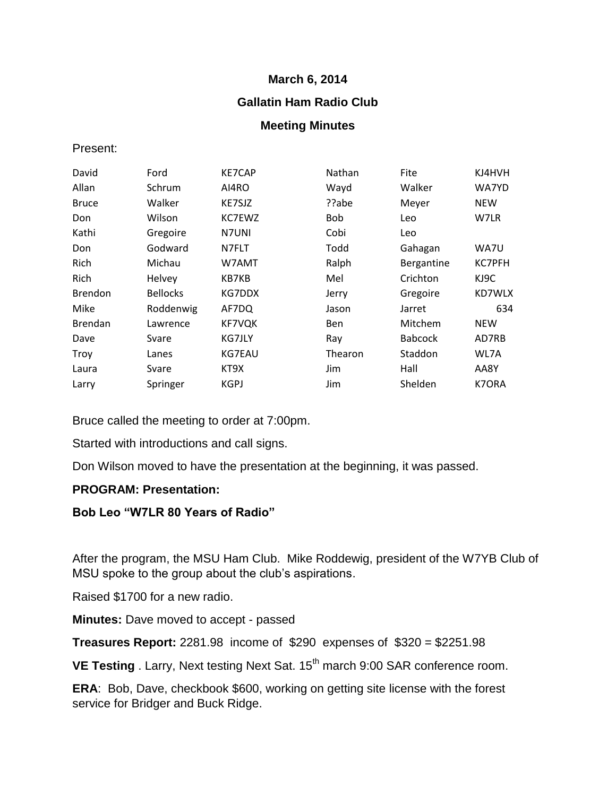### **March 6, 2014**

# **Gallatin Ham Radio Club**

## **Meeting Minutes**

### Present:

| David          | Ford            | <b>KE7CAP</b> | Nathan     | Fite           | KJ4HVH        |
|----------------|-----------------|---------------|------------|----------------|---------------|
| Allan          | Schrum          | AI4RO         | Wayd       | Walker         | WA7YD         |
| <b>Bruce</b>   | Walker          | KE7SJZ        | ??abe      | Meyer          | <b>NEW</b>    |
| Don            | Wilson          | KC7EWZ        | <b>Bob</b> | Leo            | W7LR          |
| Kathi          | Gregoire        | N7UNI         | Cobi       | Leo            |               |
| Don            | Godward         | N7FLT         | Todd       | Gahagan        | WA7U          |
| Rich           | Michau          | W7AMT         | Ralph      | Bergantine     | <b>KC7PFH</b> |
| Rich           | Helvey          | KB7KB         | Mel        | Crichton       | KJ9C          |
| <b>Brendon</b> | <b>Bellocks</b> | KG7DDX        | Jerry      | Gregoire       | KD7WLX        |
| Mike           | Roddenwig       | AF7DQ         | Jason      | Jarret         | 634           |
| <b>Brendan</b> | Lawrence        | <b>KF7VQK</b> | Ben        | Mitchem        | <b>NEW</b>    |
| Dave           | Svare           | KG7JLY        | Ray        | <b>Babcock</b> | AD7RB         |
| Troy           | Lanes           | KG7EAU        | Thearon    | Staddon        | WL7A          |
| Laura          | Svare           | KT9X          | Jim        | Hall           | AA8Y          |
| Larry          | Springer        | <b>KGPJ</b>   | Jim        | Shelden        | K7ORA         |

Bruce called the meeting to order at 7:00pm.

Started with introductions and call signs.

Don Wilson moved to have the presentation at the beginning, it was passed.

### **PROGRAM: Presentation:**

### **Bob Leo "W7LR 80 Years of Radio"**

After the program, the MSU Ham Club. Mike Roddewig, president of the W7YB Club of MSU spoke to the group about the club's aspirations.

Raised \$1700 for a new radio.

**Minutes:** Dave moved to accept - passed

**Treasures Report:** 2281.98 income of \$290 expenses of \$320 = \$2251.98

**VE Testing** . Larry, Next testing Next Sat. 15<sup>th</sup> march 9:00 SAR conference room.

**ERA**: Bob, Dave, checkbook \$600, working on getting site license with the forest service for Bridger and Buck Ridge.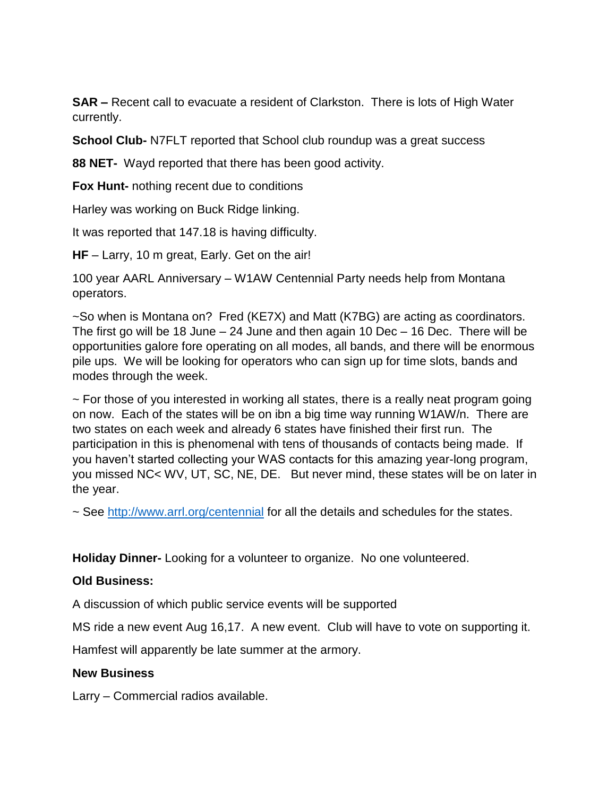**SAR –** Recent call to evacuate a resident of Clarkston. There is lots of High Water currently.

**School Club-** N7FLT reported that School club roundup was a great success

**88 NET-** Wayd reported that there has been good activity.

**Fox Hunt-** nothing recent due to conditions

Harley was working on Buck Ridge linking.

It was reported that 147.18 is having difficulty.

**HF** – Larry, 10 m great, Early. Get on the air!

100 year AARL Anniversary – W1AW Centennial Party needs help from Montana operators.

~So when is Montana on? Fred (KE7X) and Matt (K7BG) are acting as coordinators. The first go will be 18 June – 24 June and then again 10 Dec – 16 Dec. There will be opportunities galore fore operating on all modes, all bands, and there will be enormous pile ups. We will be looking for operators who can sign up for time slots, bands and modes through the week.

 $\sim$  For those of you interested in working all states, there is a really neat program going on now. Each of the states will be on ibn a big time way running W1AW/n. There are two states on each week and already 6 states have finished their first run. The participation in this is phenomenal with tens of thousands of contacts being made. If you haven't started collecting your WAS contacts for this amazing year-long program, you missed NC< WV, UT, SC, NE, DE. But never mind, these states will be on later in the year.

~ See<http://www.arrl.org/centennial> for all the details and schedules for the states.

**Holiday Dinner-** Looking for a volunteer to organize. No one volunteered.

### **Old Business:**

A discussion of which public service events will be supported

MS ride a new event Aug 16,17. A new event. Club will have to vote on supporting it.

Hamfest will apparently be late summer at the armory.

### **New Business**

Larry – Commercial radios available.